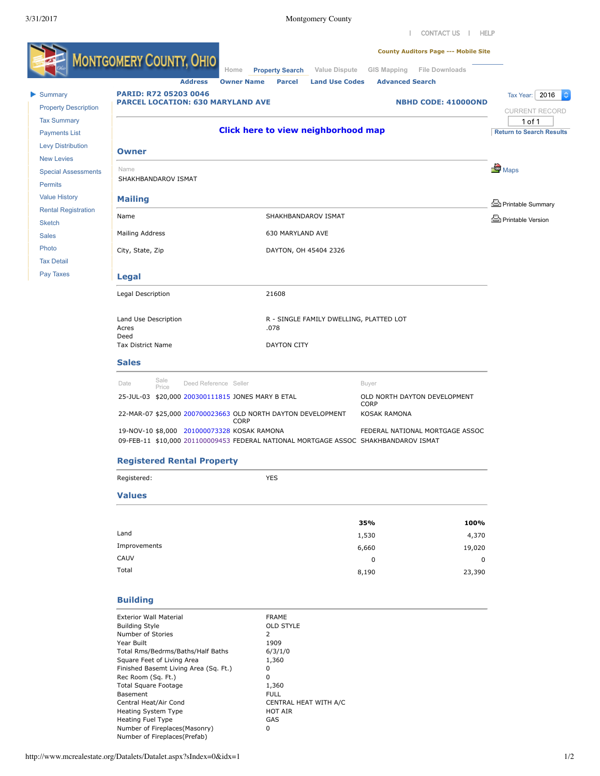| [CONTACT US](http://www.mcrealestate.org/Forms/ContactUs.aspx)  | [HELP](javascript:showHelp() 



Number of Fireplaces(Prefab)

Basement

Central Heat/Air Cond CENTRAL HEAT WITH A/C

Heating System Type **HOT AIR** Heating Fuel Type GAS Number of Fireplaces(Masonry) 0